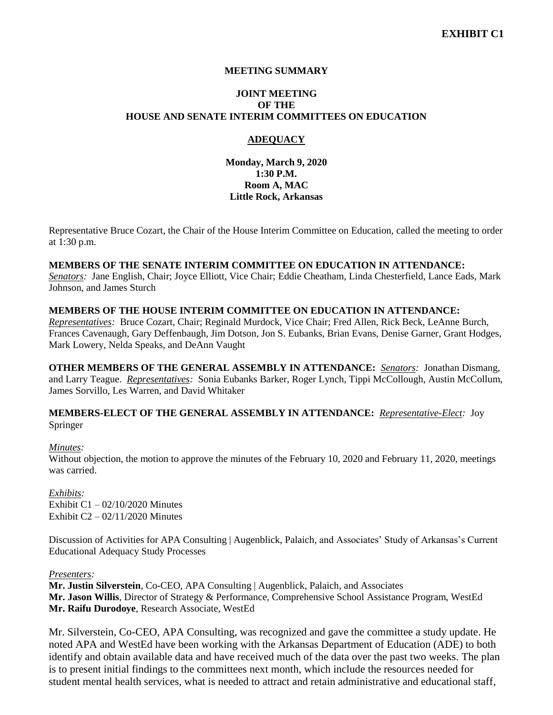# **MEETING SUMMARY**

### **JOINT MEETING OF THE HOUSE AND SENATE INTERIM COMMITTEES ON EDUCATION**

# **ADEQUACY**

**Monday, March 9, 2020 1:30 P.M. Room A, MAC Little Rock, Arkansas**

Representative Bruce Cozart, the Chair of the House Interim Committee on Education, called the meeting to order at 1:30 p.m.

#### **MEMBERS OF THE SENATE INTERIM COMMITTEE ON EDUCATION IN ATTENDANCE:**

*Senators:* Jane English, Chair; Joyce Elliott, Vice Chair; Eddie Cheatham, Linda Chesterfield, Lance Eads, Mark Johnson, and James Sturch

#### **MEMBERS OF THE HOUSE INTERIM COMMITTEE ON EDUCATION IN ATTENDANCE:**

*Representatives:* Bruce Cozart, Chair; Reginald Murdock, Vice Chair; Fred Allen, Rick Beck, LeAnne Burch, Frances Cavenaugh, Gary Deffenbaugh, Jim Dotson, Jon S. Eubanks, Brian Evans, Denise Garner, Grant Hodges, Mark Lowery, Nelda Speaks, and DeAnn Vaught

**OTHER MEMBERS OF THE GENERAL ASSEMBLY IN ATTENDANCE:** *Senators:* Jonathan Dismang, and Larry Teague. *Representatives:* Sonia Eubanks Barker, Roger Lynch, Tippi McCollough, Austin McCollum, James Sorvillo, Les Warren, and David Whitaker

**MEMBERS-ELECT OF THE GENERAL ASSEMBLY IN ATTENDANCE:** *Representative-Elect:* Joy Springer

#### *Minutes:*

Without objection, the motion to approve the minutes of the February 10, 2020 and February 11, 2020, meetings was carried.

*Exhibits:* Exhibit  $C1 - 02/10/2020$  Minutes Exhibit C2 – 02/11/2020 Minutes

Discussion of Activities for APA Consulting | Augenblick, Palaich, and Associates' Study of Arkansas's Current Educational Adequacy Study Processes

#### *Presenters:*

**Mr. Justin Silverstein**, Co-CEO, APA Consulting | Augenblick, Palaich, and Associates **Mr. Jason Willis**, Director of Strategy & Performance, Comprehensive School Assistance Program, WestEd **Mr. Raifu Durodoye**, Research Associate, WestEd

Mr. Silverstein, Co-CEO, APA Consulting, was recognized and gave the committee a study update. He noted APA and WestEd have been working with the Arkansas Department of Education (ADE) to both identify and obtain available data and have received much of the data over the past two weeks. The plan is to present initial findings to the committees next month, which include the resources needed for student mental health services, what is needed to attract and retain administrative and educational staff,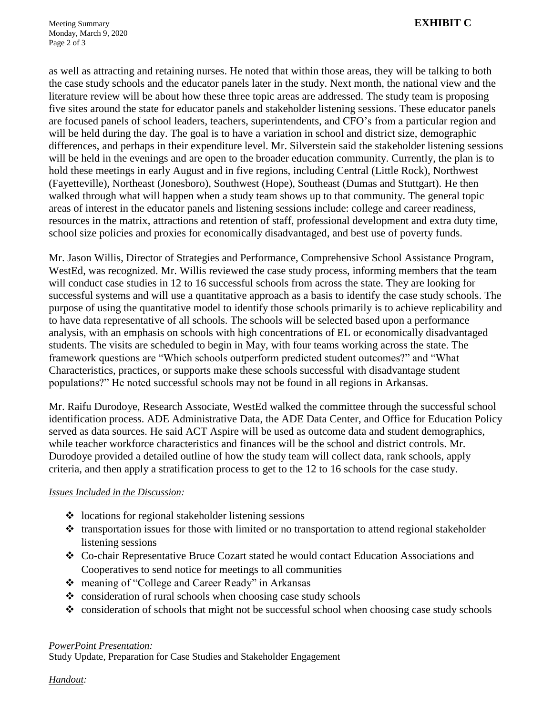as well as attracting and retaining nurses. He noted that within those areas, they will be talking to both the case study schools and the educator panels later in the study. Next month, the national view and the literature review will be about how these three topic areas are addressed. The study team is proposing five sites around the state for educator panels and stakeholder listening sessions. These educator panels are focused panels of school leaders, teachers, superintendents, and CFO's from a particular region and will be held during the day. The goal is to have a variation in school and district size, demographic differences, and perhaps in their expenditure level. Mr. Silverstein said the stakeholder listening sessions will be held in the evenings and are open to the broader education community. Currently, the plan is to hold these meetings in early August and in five regions, including Central (Little Rock), Northwest (Fayetteville), Northeast (Jonesboro), Southwest (Hope), Southeast (Dumas and Stuttgart). He then walked through what will happen when a study team shows up to that community. The general topic areas of interest in the educator panels and listening sessions include: college and career readiness, resources in the matrix, attractions and retention of staff, professional development and extra duty time, school size policies and proxies for economically disadvantaged, and best use of poverty funds.

Mr. Jason Willis, Director of Strategies and Performance, Comprehensive School Assistance Program, WestEd, was recognized. Mr. Willis reviewed the case study process, informing members that the team will conduct case studies in 12 to 16 successful schools from across the state. They are looking for successful systems and will use a quantitative approach as a basis to identify the case study schools. The purpose of using the quantitative model to identify those schools primarily is to achieve replicability and to have data representative of all schools. The schools will be selected based upon a performance analysis, with an emphasis on schools with high concentrations of EL or economically disadvantaged students. The visits are scheduled to begin in May, with four teams working across the state. The framework questions are "Which schools outperform predicted student outcomes?" and "What Characteristics, practices, or supports make these schools successful with disadvantage student populations?" He noted successful schools may not be found in all regions in Arkansas.

Mr. Raifu Durodoye, Research Associate, WestEd walked the committee through the successful school identification process. ADE Administrative Data, the ADE Data Center, and Office for Education Policy served as data sources. He said ACT Aspire will be used as outcome data and student demographics, while teacher workforce characteristics and finances will be the school and district controls. Mr. Durodoye provided a detailed outline of how the study team will collect data, rank schools, apply criteria, and then apply a stratification process to get to the 12 to 16 schools for the case study.

# *Issues Included in the Discussion:*

- $\triangleleft$  locations for regional stakeholder listening sessions
- $\cdot$  transportation issues for those with limited or no transportation to attend regional stakeholder listening sessions
- Co-chair Representative Bruce Cozart stated he would contact Education Associations and Cooperatives to send notice for meetings to all communities
- meaning of "College and Career Ready" in Arkansas
- $\triangle$  consideration of rural schools when choosing case study schools
- $\cdot$  consideration of schools that might not be successful school when choosing case study schools

# *PowerPoint Presentation:*

Study Update, Preparation for Case Studies and Stakeholder Engagement

*Handout:*